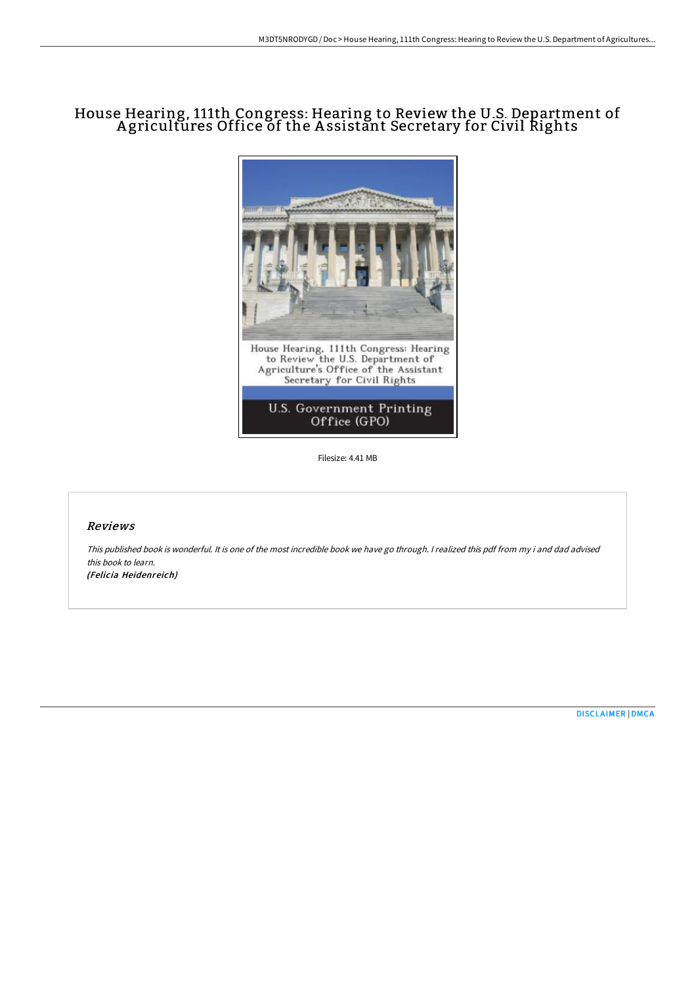# House Hearing, 111th Congress: Hearing to Review the U.S. Department of A gricultures Office of the A ssistant Secretary for Civil Rights



Filesize: 4.41 MB

#### Reviews

This published book is wonderful. It is one of the most incredible book we have go through. <sup>I</sup> realized this pdf from my i and dad advised this book to learn. (Felicia Heidenreich)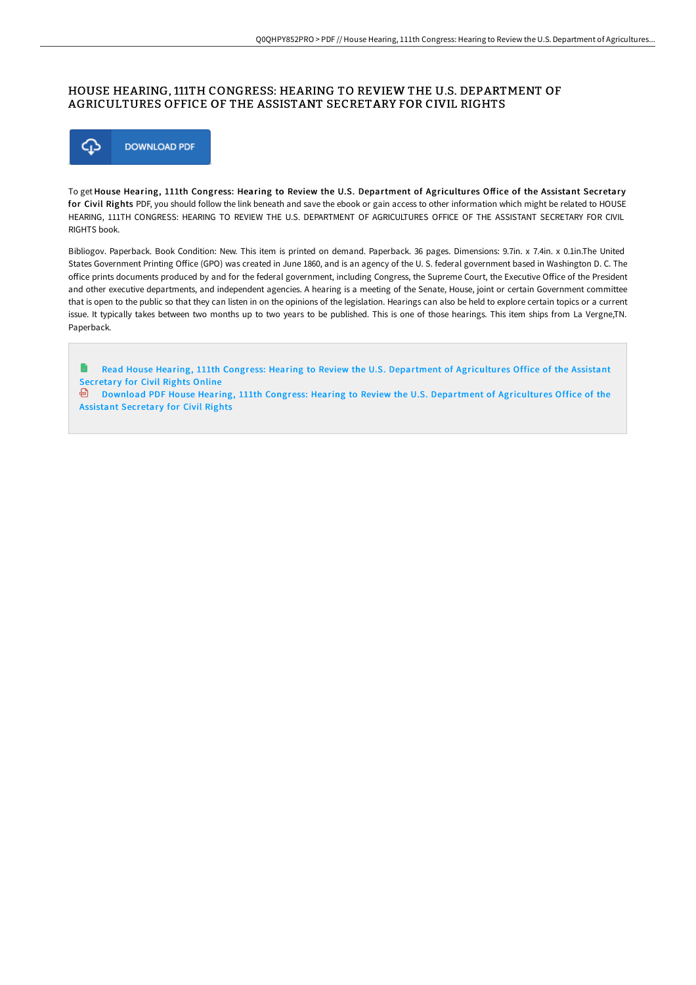### HOUSE HEARING, 111TH CONGRESS: HEARING TO REVIEW THE U.S. DEPARTMENT OF AGRICULTURES OFFICE OF THE ASSISTANT SECRETARY FOR CIVIL RIGHTS



To get House Hearing, 111th Congress: Hearing to Review the U.S. Department of Agricultures Office of the Assistant Secretary for Civil Rights PDF, you should follow the link beneath and save the ebook or gain access to other information which might be related to HOUSE HEARING, 111TH CONGRESS: HEARING TO REVIEW THE U.S. DEPARTMENT OF AGRICULTURES OFFICE OF THE ASSISTANT SECRETARY FOR CIVIL RIGHTS book.

Bibliogov. Paperback. Book Condition: New. This item is printed on demand. Paperback. 36 pages. Dimensions: 9.7in. x 7.4in. x 0.1in.The United States Government Printing Office (GPO) was created in June 1860, and is an agency of the U. S. federal government based in Washington D. C. The office prints documents produced by and for the federal government, including Congress, the Supreme Court, the Executive Office of the President and other executive departments, and independent agencies. A hearing is a meeting of the Senate, House, joint or certain Government committee that is open to the public so that they can listen in on the opinions of the legislation. Hearings can also be held to explore certain topics or a current issue. It typically takes between two months up to two years to be published. This is one of those hearings. This item ships from La Vergne,TN. Paperback.

n Read House Hearing, 111th Congress: Hearing to Review the U.S. Department of [Agricultures](http://techno-pub.tech/house-hearing-111th-congress-hearing-to-review-t.html) Office of the Assistant Secretary for Civil Rights Online

Download PDF House Hearing, 111th Congress: Hearing to Review the U.S. Department of [Agricultures](http://techno-pub.tech/house-hearing-111th-congress-hearing-to-review-t.html) Office of the Assistant Secretary for Civil Rights